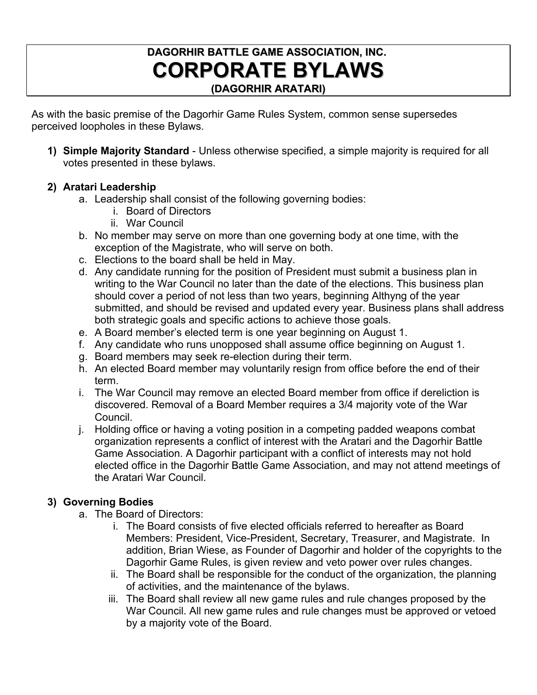# **DAGORHIR BATTLE GAME ASSOCIATION, INC. CORPORATE BYLAWS (DAGORHIR ARATARI)**

As with the basic premise of the Dagorhir Game Rules System, common sense supersedes perceived loopholes in these Bylaws.

**1) Simple Majority Standard** - Unless otherwise specified, a simple majority is required for all votes presented in these bylaws.

# **2) Aratari Leadership**

- a. Leadership shall consist of the following governing bodies:
	- i. Board of Directors
		- ii. War Council
- b. No member may serve on more than one governing body at one time, with the exception of the Magistrate, who will serve on both.
- c. Elections to the board shall be held in May.
- d. Any candidate running for the position of President must submit a business plan in writing to the War Council no later than the date of the elections. This business plan should cover a period of not less than two years, beginning Althyng of the year submitted, and should be revised and updated every year. Business plans shall address both strategic goals and specific actions to achieve those goals.
- e. A Board member's elected term is one year beginning on August 1.
- f. Any candidate who runs unopposed shall assume office beginning on August 1.
- g. Board members may seek re-election during their term.
- h. An elected Board member may voluntarily resign from office before the end of their term.
- i. The War Council may remove an elected Board member from office if dereliction is discovered. Removal of a Board Member requires a 3/4 majority vote of the War Council.
- j. Holding office or having a voting position in a competing padded weapons combat organization represents a conflict of interest with the Aratari and the Dagorhir Battle Game Association. A Dagorhir participant with a conflict of interests may not hold elected office in the Dagorhir Battle Game Association, and may not attend meetings of the Aratari War Council.

# **3) Governing Bodies**

- a. The Board of Directors:
	- i. The Board consists of five elected officials referred to hereafter as Board Members: President, Vice-President, Secretary, Treasurer, and Magistrate. In addition, Brian Wiese, as Founder of Dagorhir and holder of the copyrights to the Dagorhir Game Rules, is given review and veto power over rules changes.
	- ii. The Board shall be responsible for the conduct of the organization, the planning of activities, and the maintenance of the bylaws.
	- iii. The Board shall review all new game rules and rule changes proposed by the War Council. All new game rules and rule changes must be approved or vetoed by a majority vote of the Board.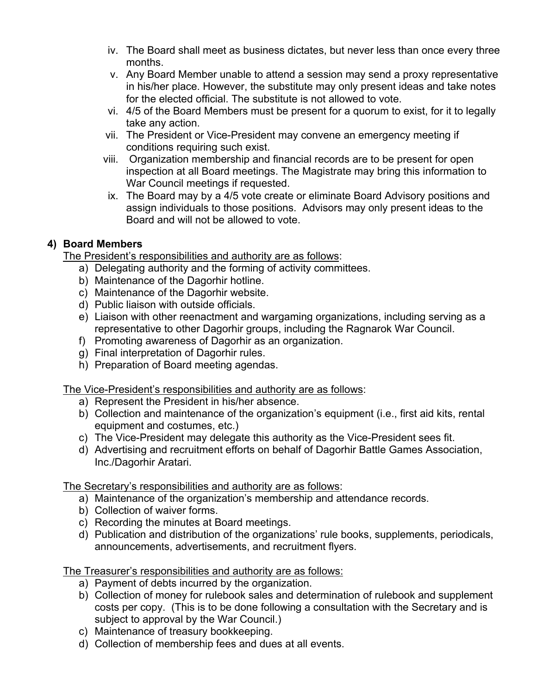- iv. The Board shall meet as business dictates, but never less than once every three months.
- v. Any Board Member unable to attend a session may send a proxy representative in his/her place. However, the substitute may only present ideas and take notes for the elected official. The substitute is not allowed to vote.
- vi. 4/5 of the Board Members must be present for a quorum to exist, for it to legally take any action.
- vii. The President or Vice-President may convene an emergency meeting if conditions requiring such exist.
- viii. Organization membership and financial records are to be present for open inspection at all Board meetings. The Magistrate may bring this information to War Council meetings if requested.
- ix. The Board may by a 4/5 vote create or eliminate Board Advisory positions and assign individuals to those positions. Advisors may only present ideas to the Board and will not be allowed to vote.

# **4) Board Members**

The President's responsibilities and authority are as follows:

- a) Delegating authority and the forming of activity committees.
- b) Maintenance of the Dagorhir hotline.
- c) Maintenance of the Dagorhir website.
- d) Public liaison with outside officials.
- e) Liaison with other reenactment and wargaming organizations, including serving as a representative to other Dagorhir groups, including the Ragnarok War Council.
- f) Promoting awareness of Dagorhir as an organization.
- g) Final interpretation of Dagorhir rules.
- h) Preparation of Board meeting agendas.

The Vice-President's responsibilities and authority are as follows:

- a) Represent the President in his/her absence.
- b) Collection and maintenance of the organization's equipment (i.e., first aid kits, rental equipment and costumes, etc.)
- c) The Vice-President may delegate this authority as the Vice-President sees fit.
- d) Advertising and recruitment efforts on behalf of Dagorhir Battle Games Association, Inc./Dagorhir Aratari.

The Secretary's responsibilities and authority are as follows:

- a) Maintenance of the organization's membership and attendance records.
- b) Collection of waiver forms.
- c) Recording the minutes at Board meetings.
- d) Publication and distribution of the organizations' rule books, supplements, periodicals, announcements, advertisements, and recruitment flyers.

The Treasurer's responsibilities and authority are as follows:

- a) Payment of debts incurred by the organization.
- b) Collection of money for rulebook sales and determination of rulebook and supplement costs per copy. (This is to be done following a consultation with the Secretary and is subject to approval by the War Council.)
- c) Maintenance of treasury bookkeeping.
- d) Collection of membership fees and dues at all events.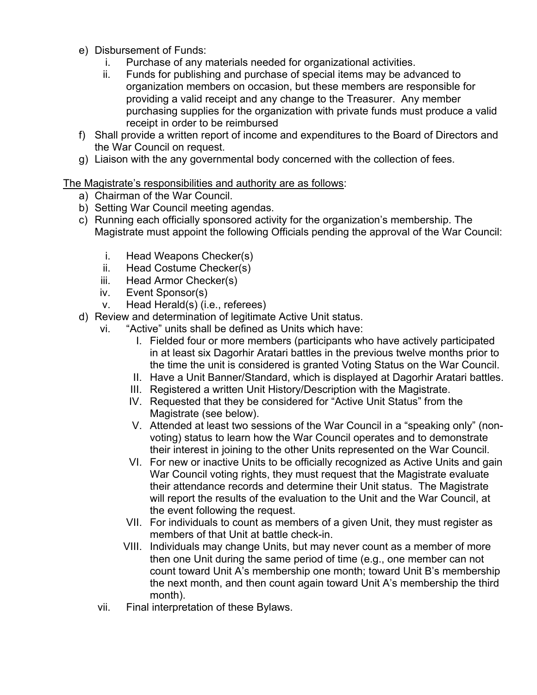- e) Disbursement of Funds:
	- i. Purchase of any materials needed for organizational activities.
	- ii. Funds for publishing and purchase of special items may be advanced to organization members on occasion, but these members are responsible for providing a valid receipt and any change to the Treasurer. Any member purchasing supplies for the organization with private funds must produce a valid receipt in order to be reimbursed
- f) Shall provide a written report of income and expenditures to the Board of Directors and the War Council on request.
- g) Liaison with the any governmental body concerned with the collection of fees.

# The Magistrate's responsibilities and authority are as follows:

- a) Chairman of the War Council.
- b) Setting War Council meeting agendas.
- c) Running each officially sponsored activity for the organization's membership. The Magistrate must appoint the following Officials pending the approval of the War Council:
	- i. Head Weapons Checker(s)
	- ii. Head Costume Checker(s)
	- iii. Head Armor Checker(s)
	- iv. Event Sponsor(s)
	- v. Head Herald(s) (i.e., referees)
- d) Review and determination of legitimate Active Unit status.
	- vi. "Active" units shall be defined as Units which have:
		- I. Fielded four or more members (participants who have actively participated in at least six Dagorhir Aratari battles in the previous twelve months prior to the time the unit is considered is granted Voting Status on the War Council.
		- II. Have a Unit Banner/Standard, which is displayed at Dagorhir Aratari battles.
		- III. Registered a written Unit History/Description with the Magistrate.
		- IV. Requested that they be considered for "Active Unit Status" from the Magistrate (see below).
		- V. Attended at least two sessions of the War Council in a "speaking only" (nonvoting) status to learn how the War Council operates and to demonstrate their interest in joining to the other Units represented on the War Council.
		- VI. For new or inactive Units to be officially recognized as Active Units and gain War Council voting rights, they must request that the Magistrate evaluate their attendance records and determine their Unit status. The Magistrate will report the results of the evaluation to the Unit and the War Council, at the event following the request.
		- VII. For individuals to count as members of a given Unit, they must register as members of that Unit at battle check-in.
		- VIII. Individuals may change Units, but may never count as a member of more then one Unit during the same period of time (e.g., one member can not count toward Unit A's membership one month; toward Unit B's membership the next month, and then count again toward Unit A's membership the third month).
	- vii. Final interpretation of these Bylaws.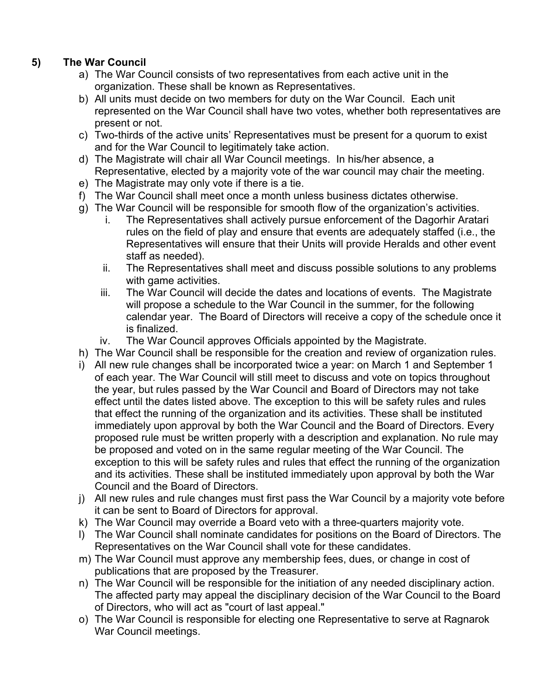# **5) The War Council**

- a) The War Council consists of two representatives from each active unit in the organization. These shall be known as Representatives.
- b) All units must decide on two members for duty on the War Council. Each unit represented on the War Council shall have two votes, whether both representatives are present or not.
- c) Two-thirds of the active units' Representatives must be present for a quorum to exist and for the War Council to legitimately take action.
- d) The Magistrate will chair all War Council meetings. In his/her absence, a Representative, elected by a majority vote of the war council may chair the meeting.
- e) The Magistrate may only vote if there is a tie.
- f) The War Council shall meet once a month unless business dictates otherwise.
- g) The War Council will be responsible for smooth flow of the organization's activities.
	- i. The Representatives shall actively pursue enforcement of the Dagorhir Aratari rules on the field of play and ensure that events are adequately staffed (i.e., the Representatives will ensure that their Units will provide Heralds and other event staff as needed).
	- ii. The Representatives shall meet and discuss possible solutions to any problems with game activities.
	- iii. The War Council will decide the dates and locations of events. The Magistrate will propose a schedule to the War Council in the summer, for the following calendar year. The Board of Directors will receive a copy of the schedule once it is finalized.
	- iv. The War Council approves Officials appointed by the Magistrate.
- h) The War Council shall be responsible for the creation and review of organization rules.
- i) All new rule changes shall be incorporated twice a year: on March 1 and September 1 of each year. The War Council will still meet to discuss and vote on topics throughout the year, but rules passed by the War Council and Board of Directors may not take effect until the dates listed above. The exception to this will be safety rules and rules that effect the running of the organization and its activities. These shall be instituted immediately upon approval by both the War Council and the Board of Directors. Every proposed rule must be written properly with a description and explanation. No rule may be proposed and voted on in the same regular meeting of the War Council. The exception to this will be safety rules and rules that effect the running of the organization and its activities. These shall be instituted immediately upon approval by both the War Council and the Board of Directors.
- j) All new rules and rule changes must first pass the War Council by a majority vote before it can be sent to Board of Directors for approval.
- k) The War Council may override a Board veto with a three-quarters majority vote.
- l) The War Council shall nominate candidates for positions on the Board of Directors. The Representatives on the War Council shall vote for these candidates.
- m) The War Council must approve any membership fees, dues, or change in cost of publications that are proposed by the Treasurer.
- n) The War Council will be responsible for the initiation of any needed disciplinary action. The affected party may appeal the disciplinary decision of the War Council to the Board of Directors, who will act as "court of last appeal."
- o) The War Council is responsible for electing one Representative to serve at Ragnarok War Council meetings.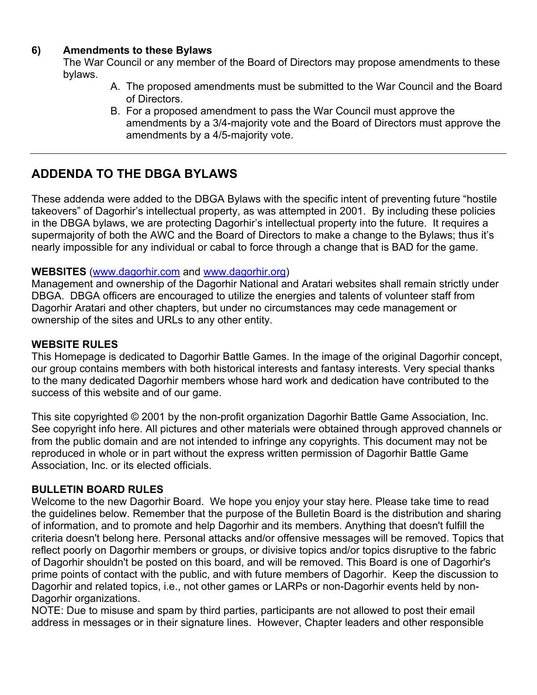# **6) Amendments to these Bylaws**

The War Council or any member of the Board of Directors may propose amendments to these bylaws.

- A. The proposed amendments must be submitted to the War Council and the Board of Directors.
- B. For a proposed amendment to pass the War Council must approve the amendments by a 3/4-majority vote and the Board of Directors must approve the amendments by a 4/5-majority vote.

# **ADDENDA TO THE DBGA BYLAWS**

These addenda were added to the DBGA Bylaws with the specific intent of preventing future "hostile takeovers" of Dagorhir's intellectual property, as was attempted in 2001. By including these policies in the DBGA bylaws, we are protecting Dagorhir's intellectual property into the future. It requires a supermajority of both the AWC and the Board of Directors to make a change to the Bylaws; thus it's nearly impossible for any individual or cabal to force through a change that is BAD for the game.

## **WEBSITES** [\(www.dagorhir.com](http://www.dagorhir.com/) and [www.dagorhir.org\)](http://www.dagorhir.org/)

Management and ownership of the Dagorhir National and Aratari websites shall remain strictly under DBGA. DBGA officers are encouraged to utilize the energies and talents of volunteer staff from Dagorhir Aratari and other chapters, but under no circumstances may cede management or ownership of the sites and URLs to any other entity.

# **WEBSITE RULES**

This Homepage is dedicated to Dagorhir Battle Games. In the image of the original Dagorhir concept, our group contains members with both historical interests and fantasy interests. Very special thanks to the many dedicated Dagorhir members whose hard work and dedication have contributed to the success of this website and of our game.

This site copyrighted © 2001 by the non-profit organization Dagorhir Battle Game Association, Inc. See [copyright info here.](http://www.dagorhir.com/) All pictures and other materials were obtained through approved channels or from the public domain and are not intended to infringe any copyrights. This document may not be reproduced in whole or in part without the express written permission of Dagorhir Battle Game Association, Inc. or its elected officials.

## **BULLETIN BOARD RULES**

Welcome to the new Dagorhir Board. We hope you enjoy your stay here. Please take time to read the guidelines below. Remember that the purpose of the Bulletin Board is the distribution and sharing of information, and to promote and help Dagorhir and its members. Anything that doesn't fulfill the criteria doesn't belong here. Personal attacks and/or offensive messages will be removed. Topics that reflect poorly on Dagorhir members or groups, or divisive topics and/or topics disruptive to the fabric of Dagorhir shouldn't be posted on this board, and will be removed. This Board is one of Dagorhir's prime points of contact with the public, and with future members of Dagorhir. Keep the discussion to Dagorhir and related topics, i.e., not other games or LARPs or non-Dagorhir events held by non-Dagorhir organizations.

NOTE: Due to misuse and spam by third parties, participants are not allowed to post their email address in messages or in their signature lines. However, Chapter leaders and other responsible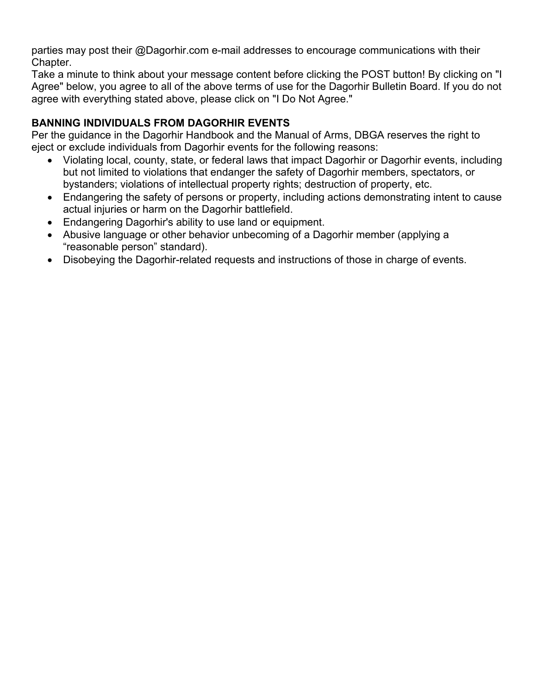parties may post their @Dagorhir.com e-mail addresses to encourage communications with their Chapter.

Take a minute to think about your message content before clicking the POST button! By clicking on "I Agree" below, you agree to all of the above terms of use for the Dagorhir Bulletin Board. If you do not agree with everything stated above, please click on "I Do Not Agree."

# **BANNING INDIVIDUALS FROM DAGORHIR EVENTS**

Per the guidance in the Dagorhir Handbook and the Manual of Arms, DBGA reserves the right to eject or exclude individuals from Dagorhir events for the following reasons:

- Violating local, county, state, or federal laws that impact Dagorhir or Dagorhir events, including but not limited to violations that endanger the safety of Dagorhir members, spectators, or bystanders; violations of intellectual property rights; destruction of property, etc.
- Endangering the safety of persons or property, including actions demonstrating intent to cause actual injuries or harm on the Dagorhir battlefield.
- Endangering Dagorhir's ability to use land or equipment.
- Abusive language or other behavior unbecoming of a Dagorhir member (applying a "reasonable person" standard).
- Disobeying the Dagorhir-related requests and instructions of those in charge of events.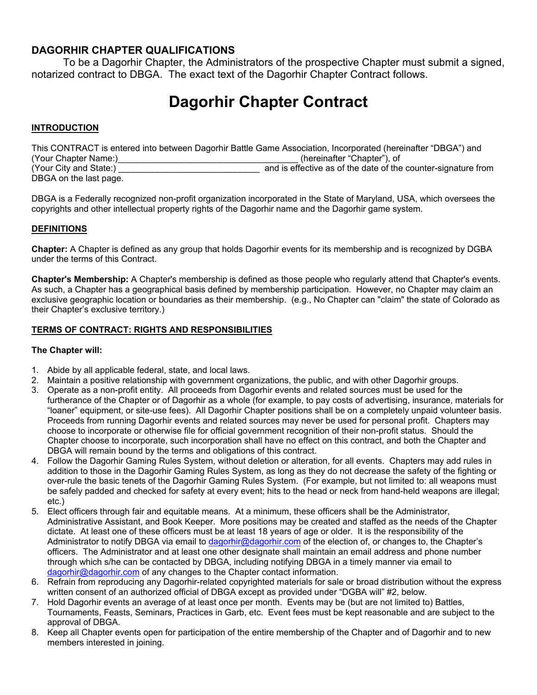# **DAGORHIR CHAPTER QUALIFICATIONS**

To be a Dagorhir Chapter, the Administrators of the prospective Chapter must submit a signed, notarized contract to DBGA. The exact text of the Dagorhir Chapter Contract follows.

# **Dagorhir Chapter Contract**

### **INTRODUCTION**

|                        | This CONTRACT is entered into between Dagorhir Battle Game Association, Incorporated (hereinafter "DBGA") and |
|------------------------|---------------------------------------------------------------------------------------------------------------|
| (Your Chapter Name:)   | (hereinafter "Chapter"), of                                                                                   |
| (Your City and State:) | and is effective as of the date of the counter-signature from                                                 |
| DBGA on the last page. |                                                                                                               |

DBGA is a Federally recognized non-profit organization incorporated in the State of Maryland, USA, which oversees the copyrights and other intellectual property rights of the Dagorhir name and the Dagorhir game system.

### **DEFINITIONS**

**Chapter:** A Chapter is defined as any group that holds Dagorhir events for its membership and is recognized by DGBA under the terms of this Contract.

**Chapter's Membership:** A Chapter's membership is defined as those people who regularly attend that Chapter's events. As such, a Chapter has a geographical basis defined by membership participation. However, no Chapter may claim an exclusive geographic location or boundaries as their membership. (e.g., No Chapter can "claim" the state of Colorado as their Chapter's exclusive territory.)

### **TERMS OF CONTRACT: RIGHTS AND RESPONSIBILITIES**

### **The Chapter will:**

- 1. Abide by all applicable federal, state, and local laws.
- 2. Maintain a positive relationship with government organizations, the public, and with other Dagorhir groups.
- 3. Operate as a non-profit entity. All proceeds from Dagorhir events and related sources must be used for the furtherance of the Chapter or of Dagorhir as a whole (for example, to pay costs of advertising, insurance, materials for "loaner" equipment, or site-use fees). All Dagorhir Chapter positions shall be on a completely unpaid volunteer basis. Proceeds from running Dagorhir events and related sources may never be used for personal profit. Chapters may choose to incorporate or otherwise file for official government recognition of their non-profit status. Should the Chapter choose to incorporate, such incorporation shall have no effect on this contract, and both the Chapter and DBGA will remain bound by the terms and obligations of this contract.
- 4. Follow the Dagorhir Gaming Rules System, without deletion or alteration, for all events. Chapters may add rules in addition to those in the Dagorhir Gaming Rules System, as long as they do not decrease the safety of the fighting or over-rule the basic tenets of the Dagorhir Gaming Rules System. (For example, but not limited to: all weapons must be safely padded and checked for safety at every event; hits to the head or neck from hand-held weapons are illegal; etc.)
- 5. Elect officers through fair and equitable means. At a minimum, these officers shall be the Administrator, Administrative Assistant, and Book Keeper. More positions may be created and staffed as the needs of the Chapter dictate. At least one of these officers must be at least 18 years of age or older. It is the responsibility of the Administrator to notify DBGA via email to [dagorhir@dagorhir.com o](mailto:dagorhir@dagorhir.com)f the election of, or changes to, the Chapter's officers. The Administrator and at least one other designate shall maintain an email address and phone number through which s/he can be contacted by DBGA, including notifying DBGA in a timely manner via email to [dagorhir@dagorhir.com](mailto:dagorhir@dagorhir.com) of any changes to the Chapter contact information.
- 6. Refrain from reproducing any Dagorhir-related copyrighted materials for sale or broad distribution without the express written consent of an authorized official of DBGA except as provided under "DGBA will" #2, below.
- 7. Hold Dagorhir events an average of at least once per month. Events may be (but are not limited to) Battles, Tournaments, Feasts, Seminars, Practices in Garb, etc. Event fees must be kept reasonable and are subject to the approval of DBGA.
- 8. Keep all Chapter events open for participation of the entire membership of the Chapter and of Dagorhir and to new members interested in joining.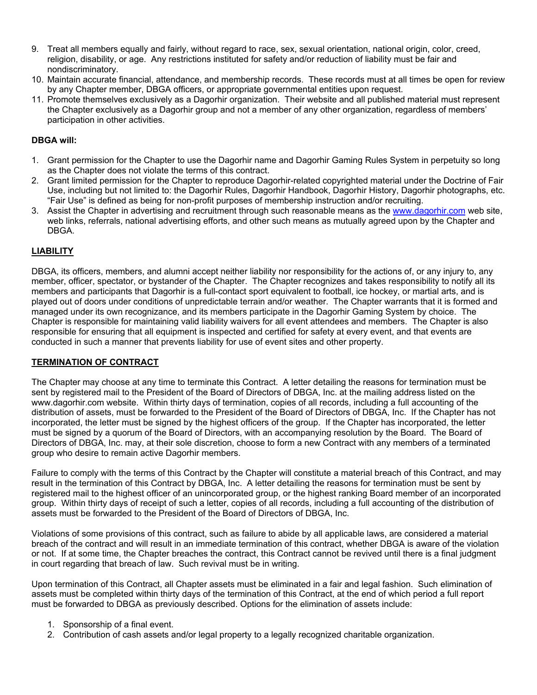- 9. Treat all members equally and fairly, without regard to race, sex, sexual orientation, national origin, color, creed, religion, disability, or age. Any restrictions instituted for safety and/or reduction of liability must be fair and nondiscriminatory.
- 10. Maintain accurate financial, attendance, and membership records. These records must at all times be open for review by any Chapter member, DBGA officers, or appropriate governmental entities upon request.
- 11. Promote themselves exclusively as a Dagorhir organization. Their website and all published material must represent the Chapter exclusively as a Dagorhir group and not a member of any other organization, regardless of members' participation in other activities.

### **DBGA will:**

- 1. Grant permission for the Chapter to use the Dagorhir name and Dagorhir Gaming Rules System in perpetuity so long as the Chapter does not violate the terms of this contract.
- 2. Grant limited permission for the Chapter to reproduce Dagorhir-related copyrighted material under the Doctrine of Fair Use, including but not limited to: the Dagorhir Rules, Dagorhir Handbook, Dagorhir History, Dagorhir photographs, etc. "Fair Use" is defined as being for non-profit purposes of membership instruction and/or recruiting.
- 3. Assist the Chapter in advertising and recruitment through such reasonable means as the [www.dagorhir.com w](http://www.dagorhir.com/)eb site, web links, referrals, national advertising efforts, and other such means as mutually agreed upon by the Chapter and DBGA.

## **LIABILITY**

DBGA, its officers, members, and alumni accept neither liability nor responsibility for the actions of, or any injury to, any member, officer, spectator, or bystander of the Chapter. The Chapter recognizes and takes responsibility to notify all its members and participants that Dagorhir is a full-contact sport equivalent to football, ice hockey, or martial arts, and is played out of doors under conditions of unpredictable terrain and/or weather. The Chapter warrants that it is formed and managed under its own recognizance, and its members participate in the Dagorhir Gaming System by choice. The Chapter is responsible for maintaining valid liability waivers for all event attendees and members. The Chapter is also responsible for ensuring that all equipment is inspected and certified for safety at every event, and that events are conducted in such a manner that prevents liability for use of event sites and other property.

### **TERMINATION OF CONTRACT**

The Chapter may choose at any time to terminate this Contract. A letter detailing the reasons for termination must be sent by registered mail to the President of the Board of Directors of DBGA, Inc. at the mailing address listed on the www.dagorhir.com website. Within thirty days of termination, copies of all records, including a full accounting of the distribution of assets, must be forwarded to the President of the Board of Directors of DBGA, Inc. If the Chapter has not incorporated, the letter must be signed by the highest officers of the group. If the Chapter has incorporated, the letter must be signed by a quorum of the Board of Directors, with an accompanying resolution by the Board. The Board of Directors of DBGA, Inc. may, at their sole discretion, choose to form a new Contract with any members of a terminated group who desire to remain active Dagorhir members.

Failure to comply with the terms of this Contract by the Chapter will constitute a material breach of this Contract, and may result in the termination of this Contract by DBGA, Inc. A letter detailing the reasons for termination must be sent by registered mail to the highest officer of an unincorporated group, or the highest ranking Board member of an incorporated group. Within thirty days of receipt of such a letter, copies of all records, including a full accounting of the distribution of assets must be forwarded to the President of the Board of Directors of DBGA, Inc.

Violations of some provisions of this contract, such as failure to abide by all applicable laws, are considered a material breach of the contract and will result in an immediate termination of this contract, whether DBGA is aware of the violation or not. If at some time, the Chapter breaches the contract, this Contract cannot be revived until there is a final judgment in court regarding that breach of law. Such revival must be in writing.

Upon termination of this Contract, all Chapter assets must be eliminated in a fair and legal fashion. Such elimination of assets must be completed within thirty days of the termination of this Contract, at the end of which period a full report must be forwarded to DBGA as previously described. Options for the elimination of assets include:

- 1. Sponsorship of a final event.
- 2. Contribution of cash assets and/or legal property to a legally recognized charitable organization.